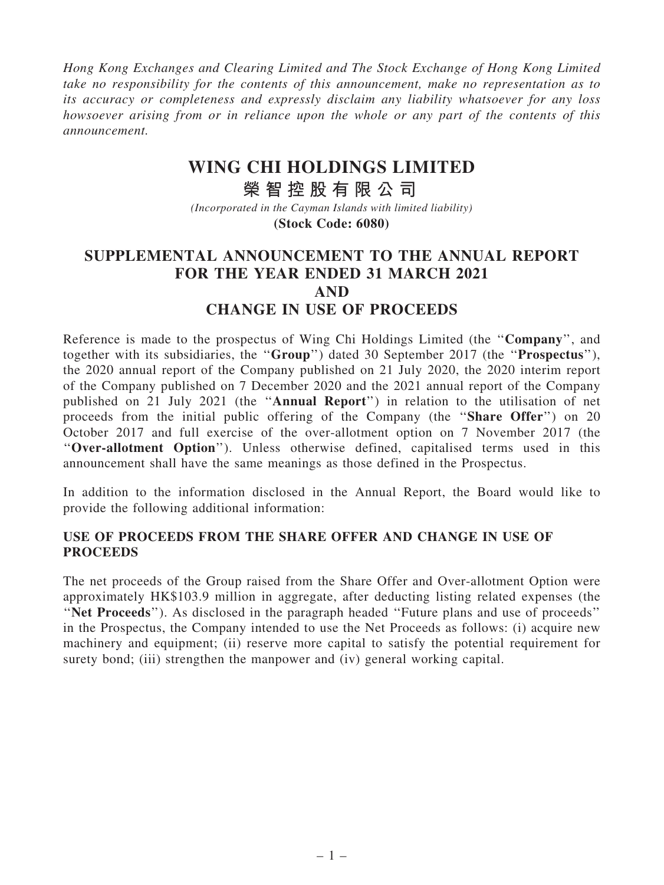*Hong Kong Exchanges and Clearing Limited and The Stock Exchange of Hong Kong Limited take no responsibility for the contents of this announcement, make no representation as to its accuracy or completeness and expressly disclaim any liability whatsoever for any loss howsoever arising from or in reliance upon the whole or any part of the contents of this announcement.*

## **WING CHI HOLDINGS LIMITED**

**榮 智 控 股 有 限 公 司** *(Incorporated in the Cayman Islands with limited liability)* **(Stock Code: 6080)**

## SUPPLEMENTAL ANNOUNCEMENT TO THE ANNUAL REPORT FOR THE YEAR ENDED 31 MARCH 2021 AND CHANGE IN USE OF PROCEEDS

Reference is made to the prospectus of Wing Chi Holdings Limited (the ''Company'', and together with its subsidiaries, the ''Group'') dated 30 September 2017 (the ''Prospectus''), the 2020 annual report of the Company published on 21 July 2020, the 2020 interim report of the Company published on 7 December 2020 and the 2021 annual report of the Company published on 21 July 2021 (the ''Annual Report'') in relation to the utilisation of net proceeds from the initial public offering of the Company (the "**Share Offer**") on 20 October 2017 and full exercise of the over-allotment option on 7 November 2017 (the ''Over-allotment Option''). Unless otherwise defined, capitalised terms used in this announcement shall have the same meanings as those defined in the Prospectus.

In addition to the information disclosed in the Annual Report, the Board would like to provide the following additional information:

## USE OF PROCEEDS FROM THE SHARE OFFER AND CHANGE IN USE OF **PROCEEDS**

The net proceeds of the Group raised from the Share Offer and Over-allotment Option were approximately HK\$103.9 million in aggregate, after deducting listing related expenses (the ''Net Proceeds''). As disclosed in the paragraph headed ''Future plans and use of proceeds'' in the Prospectus, the Company intended to use the Net Proceeds as follows: (i) acquire new machinery and equipment; (ii) reserve more capital to satisfy the potential requirement for surety bond; (iii) strengthen the manpower and (iv) general working capital.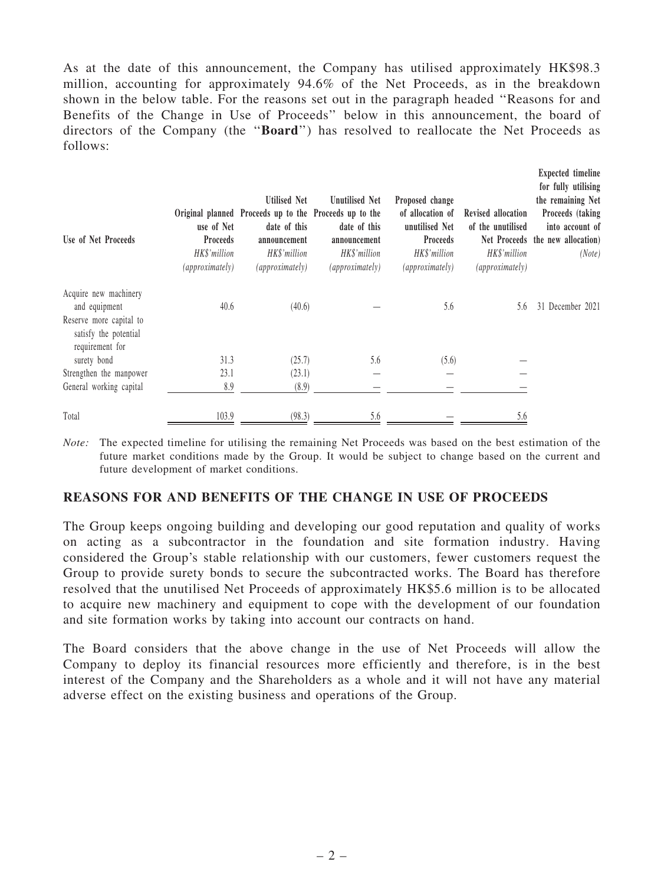As at the date of this announcement, the Company has utilised approximately HK\$98.3 million, accounting for approximately 94.6% of the Net Proceeds, as in the breakdown shown in the below table. For the reasons set out in the paragraph headed ''Reasons for and Benefits of the Change in Use of Proceeds'' below in this announcement, the board of directors of the Company (the ''Board'') has resolved to reallocate the Net Proceeds as follows:

Expected timeline

| Use of Net Proceeds                                                 | use of Net<br><b>Proceeds</b><br>HK\$'million<br><i>(approximately)</i> | <b>Utilised Net</b><br>Original planned Proceeds up to the Proceeds up to the<br>date of this<br>announcement<br>HK\$'million<br><i>(approximately)</i> | <b>Unutilised Net</b><br>date of this<br>announcement<br>HK\$'million<br><i>(approximately)</i> | Proposed change<br>of allocation of<br>unutilised Net<br><b>Proceeds</b><br>HK\$'million<br><i>(approximately)</i> | Revised allocation<br>of the unutilised<br>HK\$'million<br><i>(approximately)</i> | for fully utilising<br>the remaining Net<br>Proceeds (taking<br>into account of<br>Net Proceeds the new allocation)<br>(Note) |
|---------------------------------------------------------------------|-------------------------------------------------------------------------|---------------------------------------------------------------------------------------------------------------------------------------------------------|-------------------------------------------------------------------------------------------------|--------------------------------------------------------------------------------------------------------------------|-----------------------------------------------------------------------------------|-------------------------------------------------------------------------------------------------------------------------------|
| Acquire new machinery                                               |                                                                         |                                                                                                                                                         |                                                                                                 |                                                                                                                    |                                                                                   |                                                                                                                               |
| and equipment                                                       | 40.6                                                                    | (40.6)                                                                                                                                                  |                                                                                                 | 5.6                                                                                                                | 5.6                                                                               | 31 December 2021                                                                                                              |
| Reserve more capital to<br>satisfy the potential<br>requirement for |                                                                         |                                                                                                                                                         |                                                                                                 |                                                                                                                    |                                                                                   |                                                                                                                               |
| surety bond                                                         | 31.3                                                                    | (25.7)                                                                                                                                                  | 5.6                                                                                             | (5.6)                                                                                                              |                                                                                   |                                                                                                                               |
| Strengthen the manpower                                             | 23.1                                                                    | (23.1)                                                                                                                                                  |                                                                                                 |                                                                                                                    |                                                                                   |                                                                                                                               |
| General working capital                                             | 8.9                                                                     | (8.9)                                                                                                                                                   |                                                                                                 |                                                                                                                    |                                                                                   |                                                                                                                               |
| Total                                                               | 103.9                                                                   | (98.3)                                                                                                                                                  | 5.6                                                                                             |                                                                                                                    | 5.6                                                                               |                                                                                                                               |

*Note:* The expected timeline for utilising the remaining Net Proceeds was based on the best estimation of the future market conditions made by the Group. It would be subject to change based on the current and future development of market conditions.

## REASONS FOR AND BENEFITS OF THE CHANGE IN USE OF PROCEEDS

The Group keeps ongoing building and developing our good reputation and quality of works on acting as a subcontractor in the foundation and site formation industry. Having considered the Group's stable relationship with our customers, fewer customers request the Group to provide surety bonds to secure the subcontracted works. The Board has therefore resolved that the unutilised Net Proceeds of approximately HK\$5.6 million is to be allocated to acquire new machinery and equipment to cope with the development of our foundation and site formation works by taking into account our contracts on hand.

The Board considers that the above change in the use of Net Proceeds will allow the Company to deploy its financial resources more efficiently and therefore, is in the best interest of the Company and the Shareholders as a whole and it will not have any material adverse effect on the existing business and operations of the Group.